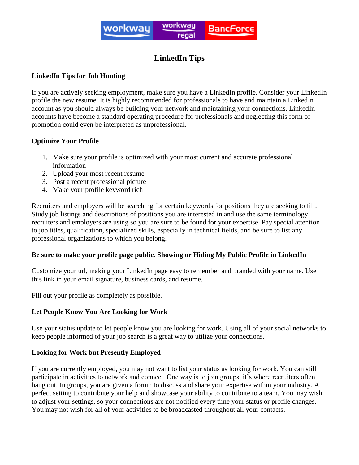

# **LinkedIn Tips**

# **LinkedIn Tips for Job Hunting**

If you are actively seeking employment, make sure you have a LinkedIn profile. Consider your LinkedIn profile the new resume. It is highly recommended for professionals to have and maintain a LinkedIn account as you should always be building your network and maintaining your connections. LinkedIn accounts have become a standard operating procedure for professionals and neglecting this form of promotion could even be interpreted as unprofessional.

## **Optimize Your Profile**

- 1. Make sure your profile is optimized with your most current and accurate professional information
- 2. Upload your most recent resume
- 3. Post a recent professional picture
- 4. Make your profile keyword rich

Recruiters and employers will be searching for certain keywords for positions they are seeking to fill. Study job listings and descriptions of positions you are interested in and use the same terminology recruiters and employers are using so you are sure to be found for your expertise. Pay special attention to job titles, qualification, specialized skills, especially in technical fields, and be sure to list any professional organizations to which you belong.

## **Be sure to make your profile page public. Showing or Hiding My Public Profile in LinkedIn**

Customize your url, making your LinkedIn page easy to remember and branded with your name. Use this link in your email signature, business cards, and resume.

Fill out your profile as completely as possible.

# **Let People Know You Are Looking for Work**

Use your status update to let people know you are looking for work. Using all of your social networks to keep people informed of your job search is a great way to utilize your connections.

## **Looking for Work but Presently Employed**

If you are currently employed, you may not want to list your status as looking for work. You can still participate in activities to network and connect. One way is to join groups, it's where recruiters often hang out. In groups, you are given a forum to discuss and share your expertise within your industry. A perfect setting to contribute your help and showcase your ability to contribute to a team. You may wish to adjust your settings, so your connections are not notified every time your status or profile changes. You may not wish for all of your activities to be broadcasted throughout all your contacts.